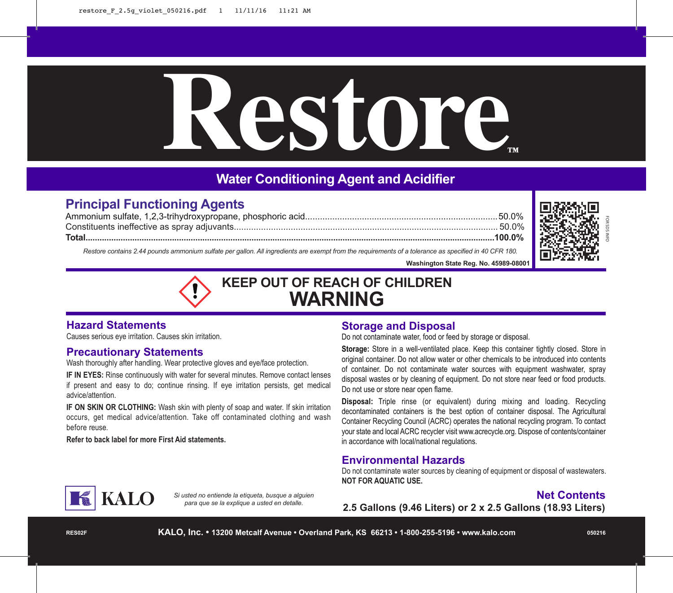# **Restore™**

# **Water Conditioning Agent and Acidifier**

## **Principal Functioning Agents**

Ammonium sulfate, 1,2,3-trihydroxypropane, phosphoric acid..............................................................................50.0% Constituents ineffective as spray adjuvants........................................................................................................... 50.0% **Total...............................................................................................................................................................................100.0%**



 *Restore contains 2.44 pounds ammonium sulfate per gallon. All ingredients are exempt from the requirements of a tolerance as specified in 40 CFR 180.*

 **Washington State Reg. No. 45989-08001**

# **KEEP OUT OF REACH OF CHILDREN WARNING**

### **Hazard Statements**

Causes serious eye irritation. Causes skin irritation.

#### **Precautionary Statements**

Wash thoroughly after handling. Wear protective gloves and eye/face protection.

**IF IN EYES:** Rinse continuously with water for several minutes. Remove contact lenses if present and easy to do; continue rinsing. If eye irritation persists, get medical advice/attention.

**IF ON SKIN OR CLOTHING:** Wash skin with plenty of soap and water. If skin irritation occurs, get medical advice/attention. Take off contaminated clothing and wash before reuse.

**Refer to back label for more First Aid statements.**

#### **Storage and Disposal**

Do not contaminate water, food or feed by storage or disposal.

**Storage:** Store in a well-ventilated place. Keep this container tightly closed. Store in original container. Do not allow water or other chemicals to be introduced into contents of container. Do not contaminate water sources with equipment washwater, spray disposal wastes or by cleaning of equipment. Do not store near feed or food products. Do not use or store near open flame.

**Disposal:** Triple rinse (or equivalent) during mixing and loading. Recycling decontaminated containers is the best option of container disposal. The Agricultural Container Recycling Council (ACRC) operates the national recycling program. To contact your state and local ACRC recycler visit www.acrecycle.org. Dispose of contents/container in accordance with local/national regulations.

#### **Environmental Hazards**

Do not contaminate water sources by cleaning of equipment or disposal of wastewaters. **NOT FOR AQUATIC USE.**

### **Net Contents**

**2.5 Gallons (9.46 Liters) or 2 x 2.5 Gallons (18.93 Liters)**



*Si usted no entiende la etiqueta, busque a alguien para que se la explique a usted en detalle.*

**RES02F**

**KALO, Inc. • 13200 Metcalf Avenue • Overland Park, KS 66213 • 1-800-255-5196 • www.kalo.com**

**050216**